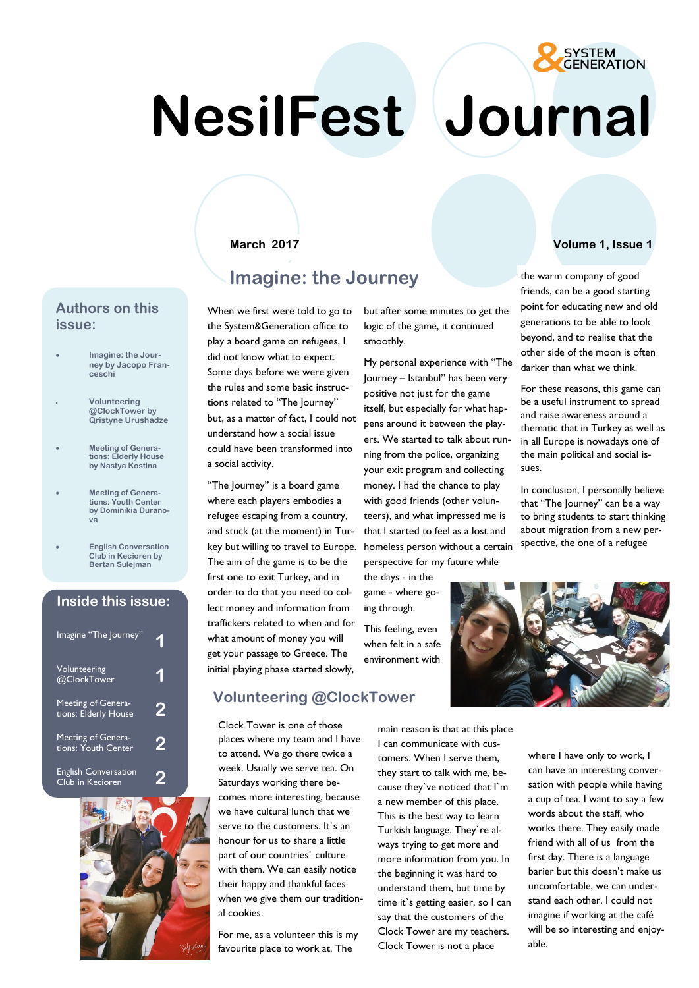# **NesilFest Journal**

# **Imagine: the Journey**

#### **Authors on this issue:**

- **Imagine: the Journey by Jacopo Franceschi**
- **Volunteering @ClockTower by Qristyne Urushadze**
- **Meeting of Generations: Elderly House by Nastya Kostina**
- **Meeting of Generations: Youth Center by Dominikia Duranova**
- **English Conversation Club in Kecioren by Bertan Sulejman**

### **Inside this issue:**

| Imagine "The Journey"                           |   |
|-------------------------------------------------|---|
| Volunteering<br>@ClockTower                     |   |
| Meeting of Genera-<br>tions: Elderly House      | 2 |
| Meeting of Genera-<br>tions: Youth Center       | 2 |
| <b>English Conversation</b><br>Club in Kecioren |   |



When we first were told to go to the System&Generation office to play a board game on refugees, I did not know what to expect. Some days before we were given the rules and some basic instructions related to "The Journey" but, as a matter of fact, I could not understand how a social issue could have been transformed into a social activity.

"The Journey" is a board game where each players embodies a refugee escaping from a country, and stuck (at the moment) in Turkey but willing to travel to Europe. The aim of the game is to be the first one to exit Turkey, and in order to do that you need to collect money and information from traffickers related to when and for what amount of money you will get your passage to Greece. The initial playing phase started slowly,

### **Volunteering @ClockTower**

Clock Tower is one of those places where my team and I have to attend. We go there twice a week. Usually we serve tea. On Saturdays working there becomes more interesting, because we have cultural lunch that we serve to the customers. It's an honour for us to share a little part of our countries` culture with them. We can easily notice their happy and thankful faces when we give them our traditional cookies.

For me, as a volunteer this is my favourite place to work at. The

but after some minutes to get the logic of the game, it continued smoothly.

My personal experience with "The Journey – Istanbul" has been very positive not just for the game itself, but especially for what happens around it between the players. We started to talk about running from the police, organizing your exit program and collecting money. I had the chance to play with good friends (other volunteers), and what impressed me is that I started to feel as a lost and homeless person without a certain perspective for my future while

the days - in the game - where going through.

This feeling, even when felt in a safe environment with

> main reason is that at this place I can communicate with customers. When I serve them, they start to talk with me, because they`ve noticed that I`m a new member of this place. This is the best way to learn Turkish language. They`re always trying to get more and more information from you. In the beginning it was hard to understand them, but time by time it`s getting easier, so I can say that the customers of the Clock Tower are my teachers. Clock Tower is not a place

#### **March 2017 Volume 1, Issue 1**

**SYSTEM GENERATION** 

the warm company of good friends, can be a good starting point for educating new and old generations to be able to look beyond, and to realise that the other side of the moon is often darker than what we think.

For these reasons, this game can be a useful instrument to spread and raise awareness around a thematic that in Turkey as well as in all Europe is nowadays one of the main political and social issues.

In conclusion, I personally believe that "The Journey" can be a way to bring students to start thinking about migration from a new perspective, the one of a refugee



where I have only to work, I can have an interesting conversation with people while having a cup of tea. I want to say a few words about the staff, who works there. They easily made friend with all of us from the first day. There is a language barier but this doesn't make us uncomfortable, we can understand each other. I could not imagine if working at the café will be so interesting and enjoyable.